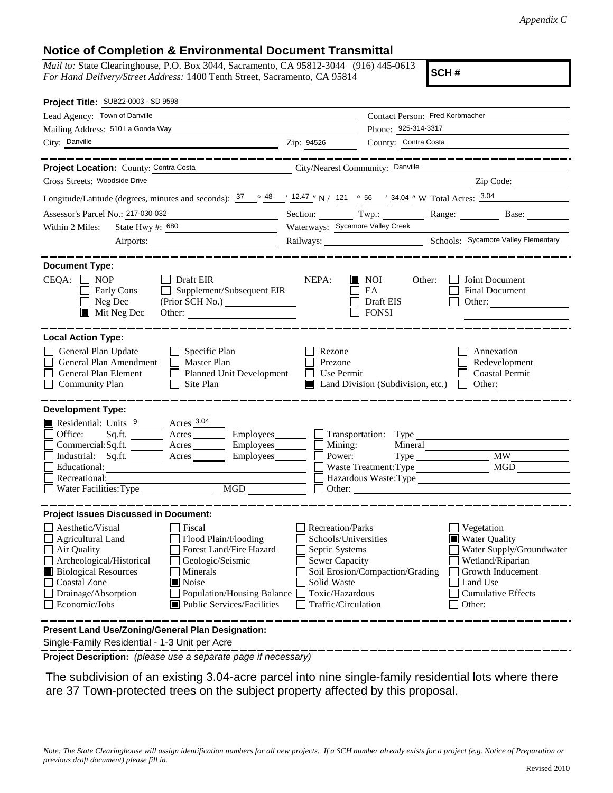## **Notice of Completion & Environmental Document Transmittal**

*Mail to:* State Clearinghouse, P.O. Box 3044, Sacramento, CA 95812-3044 (916) 445-0613 *For Hand Delivery/Street Address:* 1400 Tenth Street, Sacramento, CA 95814

**SCH #**

| Project Title: SUB22-0003 - SD 9598                                                                                                                                                                                                                                                                                                                      |                                                                                                                              |                                                         |                                                                                                                                                            |  |
|----------------------------------------------------------------------------------------------------------------------------------------------------------------------------------------------------------------------------------------------------------------------------------------------------------------------------------------------------------|------------------------------------------------------------------------------------------------------------------------------|---------------------------------------------------------|------------------------------------------------------------------------------------------------------------------------------------------------------------|--|
| Lead Agency: Town of Danville                                                                                                                                                                                                                                                                                                                            | Contact Person: Fred Korbmacher                                                                                              |                                                         |                                                                                                                                                            |  |
| Mailing Address: 510 La Gonda Way                                                                                                                                                                                                                                                                                                                        | Phone: 925-314-3317                                                                                                          |                                                         |                                                                                                                                                            |  |
| City: Danville<br><u> 1989 - Jan Samuel Barbara, martin da shekara 1989 - An tsa a tsara 1989 - An tsa a tsa a tsa a tsa a tsa a tsa</u>                                                                                                                                                                                                                 | Zip: 94526                                                                                                                   | County: Contra Costa                                    |                                                                                                                                                            |  |
|                                                                                                                                                                                                                                                                                                                                                          |                                                                                                                              |                                                         |                                                                                                                                                            |  |
| Project Location: County: Contra Costa                                                                                                                                                                                                                                                                                                                   | City/Nearest Community: Danville                                                                                             |                                                         |                                                                                                                                                            |  |
| Cross Streets: Woodside Drive                                                                                                                                                                                                                                                                                                                            |                                                                                                                              |                                                         | Zip Code:                                                                                                                                                  |  |
| Longitude/Latitude (degrees, minutes and seconds): $\frac{37}{1248}$ $\frac{48}{1247}$ N / 121 $\degree$ 56 $\degree$ 34.04 " W Total Acres: $\frac{3.04}{1247}$                                                                                                                                                                                         |                                                                                                                              |                                                         |                                                                                                                                                            |  |
| Assessor's Parcel No.: 217-030-032<br><u> 1980 - Johann Barn, mars eta bat erroman erroman erroman erroman erroman erroman erroman erroman erroman err</u>                                                                                                                                                                                               |                                                                                                                              |                                                         | Section: Twp.: Range: Base: Base:                                                                                                                          |  |
| State Hwy #: 680<br>Within 2 Miles:                                                                                                                                                                                                                                                                                                                      | Waterways: Sycamore Valley Creek                                                                                             |                                                         |                                                                                                                                                            |  |
|                                                                                                                                                                                                                                                                                                                                                          |                                                                                                                              |                                                         |                                                                                                                                                            |  |
| <b>Document Type:</b>                                                                                                                                                                                                                                                                                                                                    |                                                                                                                              |                                                         |                                                                                                                                                            |  |
| CEQA:<br>$\Box$ NOP<br>Draft EIR<br>Supplement/Subsequent EIR<br>Early Cons<br>Neg Dec<br>$\blacksquare$<br>$\blacksquare$ Mit Neg Dec<br>Other:                                                                                                                                                                                                         | NEPA:                                                                                                                        | <b>NOI</b><br>Other:<br>EA<br>Draft EIS<br><b>FONSI</b> | Joint Document<br>Final Document<br>Other:                                                                                                                 |  |
| <b>Local Action Type:</b><br>General Plan Update<br>$\Box$ Specific Plan<br>General Plan Amendment<br>$\Box$ Master Plan<br>General Plan Element<br><b>Planned Unit Development</b><br>$\Box$<br><b>Community Plan</b><br>Site Plan                                                                                                                      | Rezone<br>Prezone<br>Use Permit<br>$\mathsf{L}$                                                                              | Land Division (Subdivision, etc.)                       | Annexation<br>Redevelopment<br><b>Coastal Permit</b><br>Other:<br>$\mathbf{1}$                                                                             |  |
| <b>Development Type:</b><br>Residential: Units 9 Acres 3.04<br>Office:<br>Acres __________ Employees_________ ___ Transportation: Type ___________________<br>Sq.ft.<br>Commercial:Sq.ft. ________ Acres _______<br>Employees________<br>Industrial: $Sq.fit.$ Acres<br>Employees________<br>Educational:<br>Recreational:<br>Water Facilities: Type     | $\Box$ Mining:<br>Power:                                                                                                     | Mineral<br>Waste Treatment: Type                        | <b>MW</b><br>MGD<br>Hazardous Waste:Type<br>Other: 2008 2012 2012 2013 2014 2015 2016 2017 2018 2019 2017 2018 2019 2017 2018 2019 2017 2018 2019 2019 201 |  |
| <b>Project Issues Discussed in Document:</b><br>$\Box$ Aesthetic/Visual<br>Fiscal<br>Flood Plain/Flooding<br>Agricultural Land<br>Forest Land/Fire Hazard<br>Air Quality<br>Archeological/Historical<br>Geologic/Seismic<br><b>Biological Resources</b><br>Minerals<br>Noise<br><b>Coastal Zone</b><br>Drainage/Absorption<br>Population/Housing Balance | <b>Recreation/Parks</b><br>Schools/Universities<br>Septic Systems<br><b>Sewer Capacity</b><br>Solid Waste<br>Toxic/Hazardous | Soil Erosion/Compaction/Grading                         | Vegetation<br><b>Water Quality</b><br>Water Supply/Groundwater<br>Wetland/Riparian<br>Growth Inducement<br>Land Use<br><b>Cumulative Effects</b>           |  |
| Economic/Jobs<br>Public Services/Facilities<br>Traffic/Circulation<br>Other:<br>Present Land Use/Zoning/General Plan Designation:<br>$\mathbf{a}$ . The set that $\mathbf{B}$ is a tailor of all $\mathbf{A}$ , $\mathbf{A}$ , $\mathbf{B}$ , the top and                                                                                                |                                                                                                                              |                                                         |                                                                                                                                                            |  |

Single-Family Residential - 1-3 Unit per Acre

**Project Description:** *(please use a separate page if necessary)*

 The subdivision of an existing 3.04-acre parcel into nine single-family residential lots where there are 37 Town-protected trees on the subject property affected by this proposal.